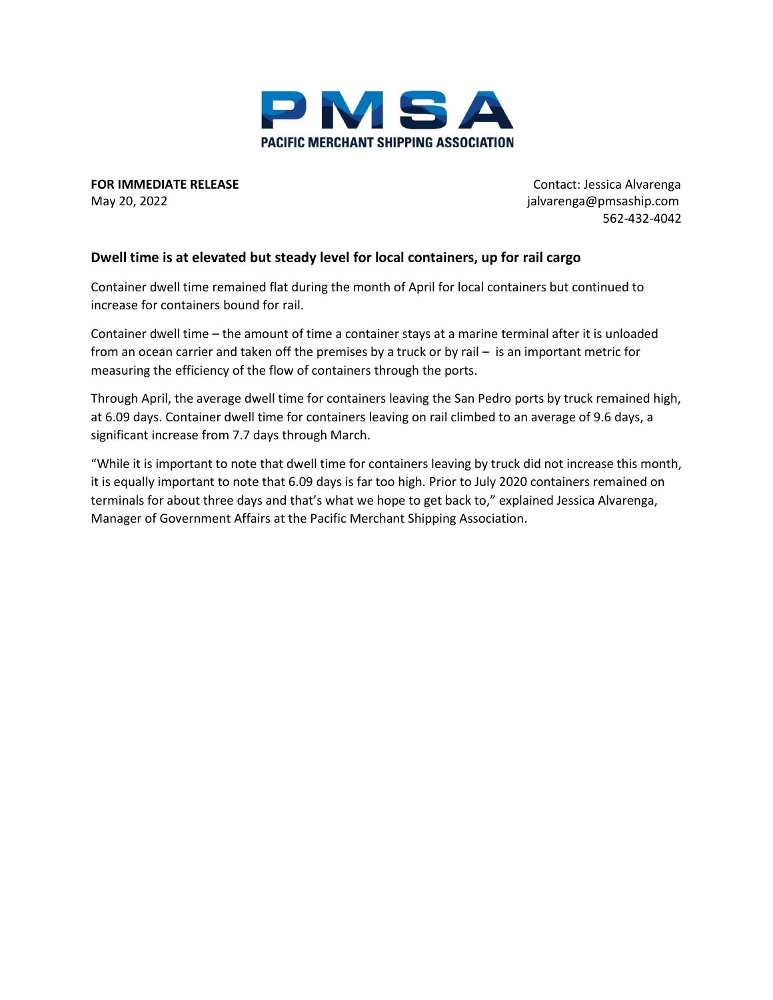

**FOR IMMEDIATE RELEASE CONTACT SEE ALSO EXAMPLE 20 ACCESS CONTACT CONTACT: Jessica Alvarenga** 

May 20, 2022 **jalvarenga@pmsaship.com** 562-432-4042

## **Dwell time is at elevated but steady level for local containers, up for rail cargo**

Container dwell time remained flat during the month of April for local containers but continued to increase for containers bound for rail.

Container dwell time – the amount of time a container stays at a marine terminal after it is unloaded from an ocean carrier and taken off the premises by a truck or by rail – is an important metric for measuring the efficiency of the flow of containers through the ports.

Through April, the average dwell time for containers leaving the San Pedro ports by truck remained high, at 6.09 days. Container dwell time for containers leaving on rail climbed to an average of 9.6 days, a significant increase from 7.7 days through March.

"While it is important to note that dwell time for containers leaving by truck did not increase this month, it is equally important to note that 6.09 days is far too high. Prior to July 2020 containers remained on terminals for about three days and that's what we hope to get back to," explained Jessica Alvarenga, Manager of Government Affairs at the Pacific Merchant Shipping Association.